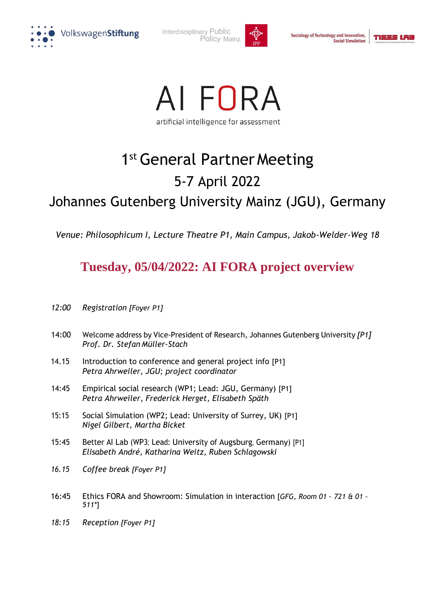

Interdisciplinary Public Policy Mainz



Sociology of Technology and Innovation, **Social Simulation** 





## 1st General Partner Meeting 5-7 April 2022 Johannes Gutenberg University Mainz (JGU), Germany

*Venue: Philosophicum I, Lecture Theatre P1, Main Campus, Jakob-Welder-Weg 18*

## **Tuesday, 05/04/2022: AI FORA project overview**

- *12:00 Registration [Foyer P1]*
- 14:00 Welcome address by Vice-President of Research, Johannes Gutenberg University *[P1] Prof. Dr. Stefan Müller-Stach*
- 14.15 Introduction to conference and general project info [P1] *Petra Ahrweiler, JGU; project coordinator*
- 14:45 Empirical social research (WP1; Lead: JGU, Germany) [P1] *Petra Ahrweiler*, *Frederick Herget, Elisabeth Späth*
- 15:15 Social Simulation (WP2; Lead: University of Surrey, UK) [P1] *Nigel Gilbert, Martha Bicket*
- 15:45 Better AI Lab (WP3; Lead: University of Augsburg, Germany) [P1] *Elisabeth André, Katharina Weitz, Ruben Schlagowski*
- *16.15 Coffee break [Foyer P1]*
- 16:45 Ethics FORA and Showroom: Simulation in interaction [*GFG, Room 01 – 721 & 01 – 511\**]
- *18:15 Reception [Foyer P1]*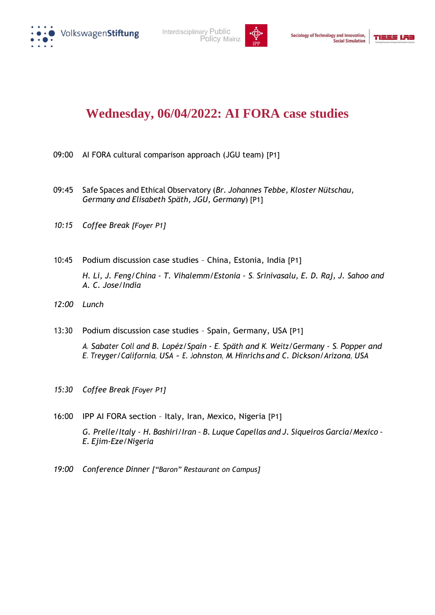





## **Wednesday, 06/04/2022: AI FORA case studies**

- 09:00 AI FORA cultural comparison approach (JGU team) [P1]
- 09:45 Safe Spaces and Ethical Observatory (*Br. Johannes Tebbe, Kloster Nütschau, Germany and Elisabeth Späth, JGU, Germany*) [P1]
- *10:15 Coffee Break [Foyer P1]*
- 10:45 Podium discussion case studies China, Estonia, India [P1] *H. Li, J. Feng/China - T. Vihalemm/Estonia - S. Srinivasalu, E. D. Raj, J. Sahoo and A. C. Jose/India*
- *12:00 Lunch*
- 13:30 Podium discussion case studies Spain, Germany, USA [P1] *A. Sabater Coll and B. Lopéz/Spain - E. Späth and K. Weitz/Germany - S. Popper and E. Treyger/California, USA - E. Johnston, M. Hinrichs and C. Dickson/Arizona, USA*
- *15:30 Coffee Break [Foyer P1]*
- 16:00 IPP AI FORA section Italy, Iran, Mexico, Nigeria [P1] *G. Prelle/Italy - H. Bashiri/Iran – B. Luque Capellas and J. Siqueiros García/Mexico – E. Ejim-Eze/Nigeria*
- *19:00 Conference Dinner ["Baron" Restaurant on Campus]*